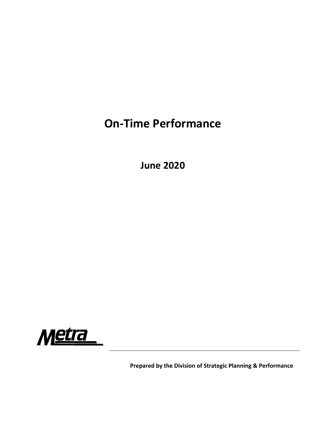## **On‐Time Performance**

**June 2020**



**Prepared by the Division of Strategic Planning & Performance**